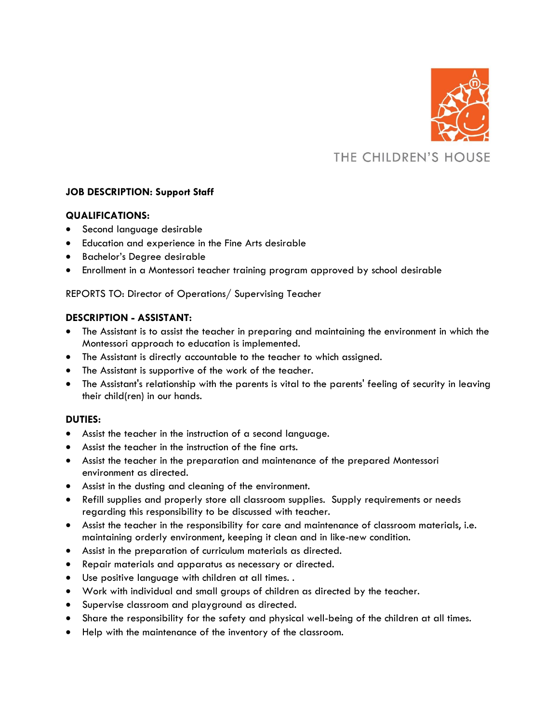

# THE CHILDREN'S HOUSE

# **JOB DESCRIPTION: Support Staff**

### **QUALIFICATIONS:**

- Second language desirable
- Education and experience in the Fine Arts desirable
- Bachelor's Degree desirable
- Enrollment in a Montessori teacher training program approved by school desirable

## REPORTS TO: Director of Operations/ Supervising Teacher

# **DESCRIPTION - ASSISTANT:**

- The Assistant is to assist the teacher in preparing and maintaining the environment in which the Montessori approach to education is implemented.
- The Assistant is directly accountable to the teacher to which assigned.
- The Assistant is supportive of the work of the teacher.
- The Assistant's relationship with the parents is vital to the parents' feeling of security in leaving their child(ren) in our hands.

### **DUTIES:**

- Assist the teacher in the instruction of a second language.
- Assist the teacher in the instruction of the fine arts.
- Assist the teacher in the preparation and maintenance of the prepared Montessori environment as directed.
- Assist in the dusting and cleaning of the environment.
- Refill supplies and properly store all classroom supplies. Supply requirements or needs regarding this responsibility to be discussed with teacher.
- Assist the teacher in the responsibility for care and maintenance of classroom materials, i.e. maintaining orderly environment, keeping it clean and in like-new condition.
- Assist in the preparation of curriculum materials as directed.
- Repair materials and apparatus as necessary or directed.
- Use positive language with children at all times. .
- Work with individual and small groups of children as directed by the teacher.
- Supervise classroom and playground as directed.
- Share the responsibility for the safety and physical well-being of the children at all times.
- Help with the maintenance of the inventory of the classroom.